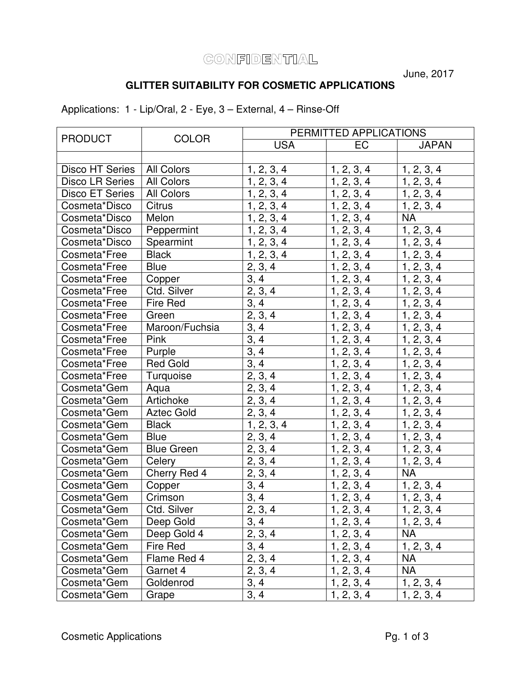## CONFIDENTIAL

June, 2017

## **GLITTER SUITABILITY FOR COSMETIC APPLICATIONS**

Applications: 1 - Lip/Oral, 2 - Eye, 3 – External, 4 – Rinse-Off

| <b>PRODUCT</b>         | <b>COLOR</b>      | PERMITTED APPLICATIONS |                          |              |
|------------------------|-------------------|------------------------|--------------------------|--------------|
|                        |                   | <b>USA</b>             | EC                       | <b>JAPAN</b> |
|                        |                   |                        |                          |              |
| <b>Disco HT Series</b> | All Colors        | 1, 2, 3, 4             | 1, 2, 3, 4               | 1, 2, 3, 4   |
| <b>Disco LR Series</b> | <b>All Colors</b> | 1, 2, 3, 4             | 1, 2, 3, 4               | 1, 2, 3, 4   |
| <b>Disco ET Series</b> | <b>All Colors</b> | 1, 2, 3, 4             | 1, 2, 3, 4               | 1, 2, 3, 4   |
| Cosmeta*Disco          | <b>Citrus</b>     | 1, 2, 3, 4             | 1, 2, 3, 4               | 1, 2, 3, 4   |
| Cosmeta*Disco          | Melon             | 1, 2, 3, 4             | 1, 2, 3, 4               | <b>NA</b>    |
| Cosmeta*Disco          | Peppermint        | 1, 2, 3, 4             | 1, 2, 3, 4               | 1, 2, 3, 4   |
| Cosmeta*Disco          | Spearmint         | 1, 2, 3, 4             | 1, 2, 3, 4               | 1, 2, 3, 4   |
| Cosmeta*Free           | <b>Black</b>      | 1, 2, 3, 4             | 1, 2, 3, 4               | 1, 2, 3, 4   |
| Cosmeta*Free           | <b>Blue</b>       | 2, 3, 4                | 1, 2, 3, 4               | 1, 2, 3, 4   |
| Cosmeta*Free           | Copper            | 3, 4                   | 1, 2, 3, 4               | 1, 2, 3, 4   |
| Cosmeta*Free           | Ctd. Silver       | 2, 3, 4                | 1, 2, 3, 4               | 1, 2, 3, 4   |
| Cosmeta*Free           | Fire Red          | 3, 4                   | 1, 2, 3, 4               | 1, 2, 3, 4   |
| Cosmeta*Free           | Green             | $\overline{2}, 3, 4$   | 1, 2, 3, 4               | 1, 2, 3, 4   |
| Cosmeta*Free           | Maroon/Fuchsia    | 3, 4                   | 1, 2, 3, 4               | 1, 2, 3, 4   |
| Cosmeta*Free           | Pink              | $\overline{3}$ , 4     | 1, 2, 3, 4               | 1, 2, 3, 4   |
| Cosmeta*Free           | Purple            | 3, 4                   | 1, 2, 3, 4               | 1, 2, 3, 4   |
| Cosmeta*Free           | <b>Red Gold</b>   | 3, 4                   | 1, 2, 3, 4               | 1, 2, 3, 4   |
| Cosmeta*Free           | Turquoise         | 2, 3, 4                | 1, 2, 3, 4               | 1, 2, 3, 4   |
| Cosmeta*Gem            | Aqua              | 2, 3, 4                | 1, 2, 3, 4               | 1, 2, 3, 4   |
| Cosmeta*Gem            | Artichoke         | 2, 3, 4                | 1, 2, 3, 4               | 1, 2, 3, 4   |
| Cosmeta*Gem            | <b>Aztec Gold</b> | 2, 3, 4                | $\overline{1}$ , 2, 3, 4 | 1, 2, 3, 4   |
| Cosmeta*Gem            | <b>Black</b>      | 1, 2, 3, 4             | 1, 2, 3, 4               | 1, 2, 3, 4   |
| Cosmeta*Gem            | <b>Blue</b>       | 2, 3, 4                | 1, 2, 3, 4               | 1, 2, 3, 4   |
| Cosmeta*Gem            | <b>Blue Green</b> | 2, 3, 4                | 1, 2, 3, 4               | 1, 2, 3, 4   |
| Cosmeta*Gem            | Celery            | 2, 3, 4                | 1, 2, 3, 4               | 1, 2, 3, 4   |
| Cosmeta*Gem            | Cherry Red 4      | 2, 3, 4                | 1, 2, 3, 4               | <b>NA</b>    |
| Cosmeta*Gem            | Copper            | $\overline{3}, 4$      | 1, 2, 3, 4               | 1, 2, 3, 4   |
| Cosmeta*Gem            | Crimson           | $\overline{3,4}$       | 1, 2, 3, 4               | 1, 2, 3, 4   |
| Cosmeta*Gem            | Ctd. Silver       | 2, 3, 4                | 1, 2, 3, 4               | 1, 2, 3, 4   |
| Cosmeta*Gem            | Deep Gold         | 3, 4                   | 1, 2, 3, 4               | 1, 2, 3, 4   |
| Cosmeta*Gem            | Deep Gold 4       | 2, 3, 4                | 1, 2, 3, 4               | <b>NA</b>    |
| Cosmeta*Gem            | <b>Fire Red</b>   | 3, 4                   | 1, 2, 3, 4               | 1, 2, 3, 4   |
| Cosmeta*Gem            | Flame Red 4       | 2, 3, 4                | 1, 2, 3, 4               | <b>NA</b>    |
| Cosmeta*Gem            | Garnet 4          | 2, 3, 4                | 1, 2, 3, 4               | <b>NA</b>    |
| Cosmeta*Gem            | Goldenrod         | 3, 4                   | 1, 2, 3, 4               | 1, 2, 3, 4   |
| Cosmeta*Gem            | Grape             | 3, 4                   | $\overline{1}$ , 2, 3, 4 | 1, 2, 3, 4   |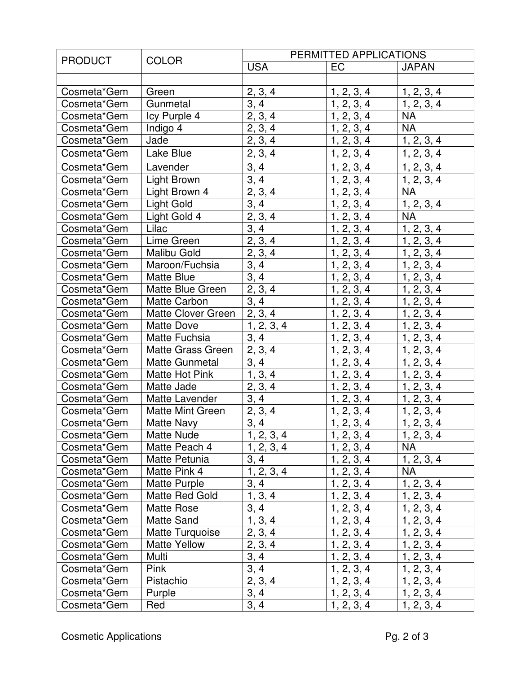| <b>PRODUCT</b> | <b>COLOR</b>              | PERMITTED APPLICATIONS |                          |                          |
|----------------|---------------------------|------------------------|--------------------------|--------------------------|
|                |                           | <b>USA</b>             | <b>EC</b>                | <b>JAPAN</b>             |
|                |                           |                        |                          |                          |
| Cosmeta*Gem    | Green                     | 2, 3, 4                | 1, 2, 3, 4               | 1, 2, 3, 4               |
| Cosmeta*Gem    | Gunmetal                  | 3, 4                   | 1, 2, 3, 4               | 1, 2, 3, 4               |
| Cosmeta*Gem    | Icy Purple 4              | 2, 3, 4                | 1, 2, 3, 4               | <b>NA</b>                |
| Cosmeta*Gem    | Indigo 4                  | 2, 3, 4                | 1, 2, 3, 4               | <b>NA</b>                |
| Cosmeta*Gem    | Jade                      | 2, 3, 4                | 1, 2, 3, 4               | 1, 2, 3, 4               |
| Cosmeta*Gem    | Lake Blue                 | 2, 3, 4                | 1, 2, 3, 4               | 1, 2, 3, 4               |
| Cosmeta*Gem    | Lavender                  | 3, 4                   | 1, 2, 3, 4               | 1, 2, 3, 4               |
| Cosmeta*Gem    | <b>Light Brown</b>        | 3, 4                   | 1, 2, 3, 4               | 1, 2, 3, 4               |
| Cosmeta*Gem    | Light Brown 4             | 2, 3, 4                | 1, 2, 3, 4               | <b>NA</b>                |
| Cosmeta*Gem    | Light Gold                | 3, 4                   | 1, 2, 3, 4               | 1, 2, 3, 4               |
| Cosmeta*Gem    | Light Gold 4              | 2, 3, 4                | 1, 2, 3, 4               | <b>NA</b>                |
| Cosmeta*Gem    | Lilac                     | 3, 4                   | 1, 2, 3, 4               | 1, 2, 3, 4               |
| Cosmeta*Gem    | Lime Green                | 2, 3, 4                | 1, 2, 3, 4               | 1, 2, 3, 4               |
| Cosmeta*Gem    | <b>Malibu Gold</b>        | 2, 3, 4                | 1, 2, 3, 4               | 1, 2, 3, 4               |
| Cosmeta*Gem    | Maroon/Fuchsia            | 3, 4                   | 1, 2, 3, 4               | 1, 2, 3, 4               |
| Cosmeta*Gem    | <b>Matte Blue</b>         | 3, 4                   | 1, 2, 3, 4               | 1, 2, 3, 4               |
| Cosmeta*Gem    | Matte Blue Green          | 2, 3, 4                | 1, 2, 3, 4               | 1, 2, 3, 4               |
| Cosmeta*Gem    | Matte Carbon              | 3, 4                   | 1, 2, 3, 4               | 1, 2, 3, 4               |
| Cosmeta*Gem    | <b>Matte Clover Green</b> | 2, 3, 4                | 1, 2, 3, 4               | 1, 2, 3, 4               |
| Cosmeta*Gem    | <b>Matte Dove</b>         | 1, 2, 3, 4             | 1, 2, 3, 4               | 1, 2, 3, 4               |
| Cosmeta*Gem    | Matte Fuchsia             | 3, 4                   | 1, 2, 3, 4               | 1, 2, 3, 4               |
| Cosmeta*Gem    | <b>Matte Grass Green</b>  | 2, 3, 4                | 1, 2, 3, 4               | 1, 2, 3, 4               |
| Cosmeta*Gem    | <b>Matte Gunmetal</b>     | 3, 4                   | $\overline{1}$ , 2, 3, 4 | 1, 2, 3, 4               |
| Cosmeta*Gem    | Matte Hot Pink            | 1, 3, 4                | 1, 2, 3, 4               | 1, 2, 3, 4               |
| Cosmeta*Gem    | Matte Jade                | 2, 3, 4                | 1, 2, 3, 4               | 1, 2, 3, 4               |
| Cosmeta*Gem    | Matte Lavender            | 3, 4                   | 1, 2, 3, 4               | 1, 2, 3, 4               |
| Cosmeta*Gem    | <b>Matte Mint Green</b>   | 2, 3, 4                | 1, 2, 3, 4               | 1, 2, 3, 4               |
| Cosmeta*Gem    | <b>Matte Navy</b>         | 3, 4                   | 1, 2, 3, 4               | 1, 2, 3, 4               |
| Cosmeta*Gem    | Matte Nude                | 1, 2, 3, 4             | 1, 2, 3, 4               | 1, 2, 3, 4               |
| Cosmeta*Gem    | Matte Peach 4             | 1, 2, 3, 4             | 1, 2, 3, 4               | <b>NA</b>                |
| Cosmeta*Gem    | Matte Petunia             | 3, 4                   | $\overline{1, 2, 3, 4}$  | 1, 2, 3, 4               |
| Cosmeta*Gem    | Matte Pink 4              | 1, 2, 3, 4             | 1, 2, 3, 4               | NA                       |
| Cosmeta*Gem    | Matte Purple              | 3, 4                   | 1, 2, 3, 4               | 1, 2, 3, 4               |
| Cosmeta*Gem    | Matte Red Gold            | 1, 3, 4                | 1, 2, 3, 4               | 1, 2, 3, 4               |
| Cosmeta*Gem    | Matte Rose                | 3, 4                   | 1, 2, 3, 4               | 1, 2, 3, 4               |
| Cosmeta*Gem    | Matte Sand                | 1, 3, 4                | 1, 2, 3, 4               | 1, 2, 3, 4               |
| Cosmeta*Gem    | Matte Turquoise           | 2, 3, 4                | 1, 2, 3, 4               | 1, 2, 3, 4               |
| Cosmeta*Gem    | <b>Matte Yellow</b>       | 2, 3, 4                | 1, 2, 3, 4               | 1, 2, 3, 4               |
| Cosmeta*Gem    | Multi                     | 3, 4                   | $\overline{1}$ , 2, 3, 4 | 1, 2, 3, 4               |
| Cosmeta*Gem    | Pink                      | 3, 4                   | 1, 2, 3, 4               | 1, 2, 3, 4               |
| Cosmeta*Gem    | Pistachio                 | 2, 3, 4                | 1, 2, 3, 4               | $\overline{1}$ , 2, 3, 4 |
| Cosmeta*Gem    | Purple                    | 3, 4                   | 1, 2, 3, 4               | 1, 2, 3, 4               |
| Cosmeta*Gem    | Red                       | 3, 4                   | 1, 2, 3, 4               | 1, 2, 3, 4               |